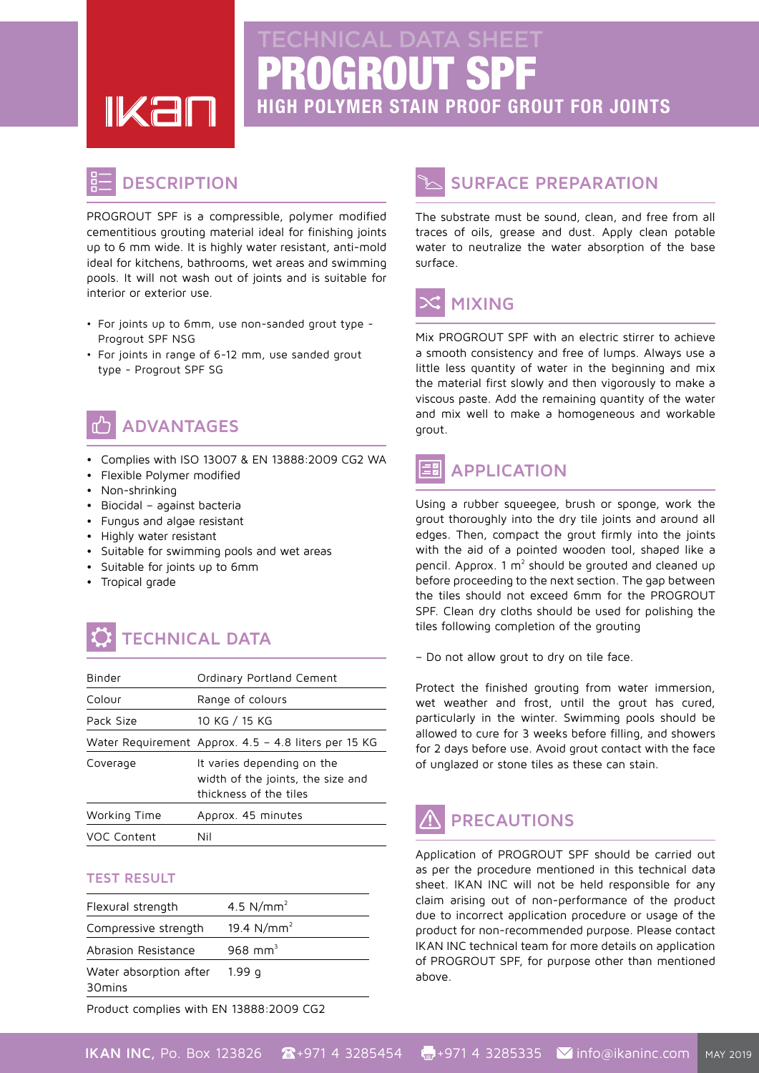PROGROUT SPF

**HIGH POLYMER STAIN PROOF GROUT FOR JOINTS** 

#### **DESCRIPTION**

**IKar** 

PROGROUT SPF is a compressible, polymer modified cementitious grouting material ideal for finishing joints up to 6 mm wide. It is highly water resistant, anti-mold ideal for kitchens, bathrooms, wet areas and swimming pools. It will not wash out of joints and is suitable for interior or exterior use.

- For joints up to 6mm, use non-sanded grout type -Progrout SPF NSG
- For joints in range of 6-12 mm, use sanded grout type - Progrout SPF SG



#### **ADVANTAGES**

- Complies with ISO 13007 & EN 13888:2009 CG2 WA
- Flexible Polymer modified
- Non-shrinking
- Biocidal against bacteria
- Fungus and algae resistant
- **Highly** water resistant
- Suitable for swimming pools and wet areas
- Suitable for joints up to 6mm
- Tropical grade

# **TECHNICAL DATA**

| Binder       | Ordinary Portland Cement                                                                  |  |
|--------------|-------------------------------------------------------------------------------------------|--|
| Colour       | Range of colours                                                                          |  |
| Pack Size    | 10 KG / 15 KG                                                                             |  |
|              | Water Requirement Approx. 4.5 - 4.8 liters per 15 KG                                      |  |
| Coverage     | It varies depending on the<br>width of the joints, the size and<br>thickness of the tiles |  |
| Working Time | Approx. 45 minutes                                                                        |  |
| VOC Content  | Nil                                                                                       |  |

#### **TEST RESULT**

| Flexural strength                            | 4.5 $N/mm^2$        |
|----------------------------------------------|---------------------|
| Compressive strength                         | 19.4 $N/mm^2$       |
| Abrasion Resistance                          | 968 mm <sup>3</sup> |
| Water absorption after<br>30 <sub>mins</sub> | 1.99 a              |

Product complies with EN 13888:2009 CG2

#### **SURFACE PREPARATION**

The substrate must be sound, clean, and free from all traces of oils, grease and dust. Apply clean potable water to neutralize the water absorption of the base surface



Mix PROGROUT SPF with an electric stirrer to achieve a smooth consistency and free of lumps. Always use a little less quantity of water in the beginning and mix the material first slowly and then vigorously to make a viscous paste. Add the remaining quantity of the water and mix well to make a homogeneous and workable grout.

#### **APPLICATION**

Using a rubber squeegee, brush or sponge, work the grout thoroughly into the dry tile joints and around all edges. Then, compact the grout firmly into the joints with the aid of a pointed wooden tool, shaped like a pencil. Approx. 1  $m<sup>2</sup>$  should be grouted and cleaned up before proceeding to the next section. The gap between the tiles should not exceed 6mm for the PROGROUT SPF. Clean dry cloths should be used for polishing the tiles following completion of the grouting

- Do not allow grout to dry on tile face.

Protect the finished grouting from water immersion, wet weather and frost, until the grout has cured, particularly in the winter. Swimming pools should be allowed to cure for 3 weeks before filling, and showers for 2 days before use. Avoid grout contact with the face of unglazed or stone tiles as these can stain.

## **PRECAUTIONS**

Application of PROGROUT SPF should be carried out as per the procedure mentioned in this technical data sheet. IKAN INC will not be held responsible for any claim arising out of non-performance of the product due to incorrect application procedure or usage of the product for non-recommended purpose. Please contact IKAN INC technical team for more details on application of PROGROUT SPF, for purpose other than mentioned .above